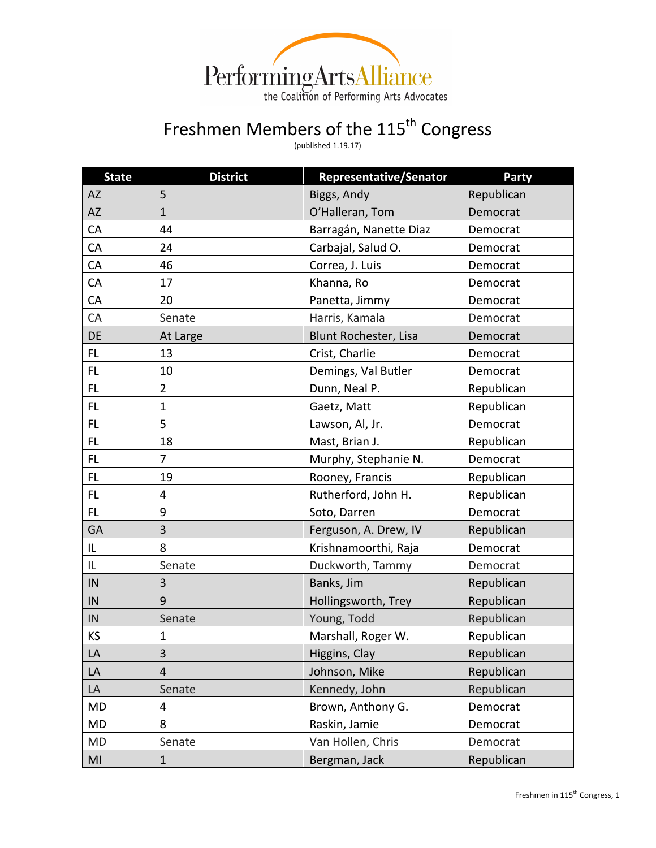

## Freshmen Members of the 115<sup>th</sup> Congress

 $($  published  $1.19.17)$ 

| <b>State</b> | <b>District</b> | <b>Representative/Senator</b> | Party      |
|--------------|-----------------|-------------------------------|------------|
| <b>AZ</b>    | 5               | Biggs, Andy                   | Republican |
| <b>AZ</b>    | $\mathbf{1}$    | O'Halleran, Tom               | Democrat   |
| CA           | 44              | Barragán, Nanette Diaz        | Democrat   |
| CA           | 24              | Carbajal, Salud O.            | Democrat   |
| CA           | 46              | Correa, J. Luis               | Democrat   |
| CA           | 17              | Khanna, Ro                    | Democrat   |
| CA           | 20              | Panetta, Jimmy                | Democrat   |
| CA           | Senate          | Harris, Kamala                | Democrat   |
| DE           | At Large        | <b>Blunt Rochester, Lisa</b>  | Democrat   |
| FL           | 13              | Crist, Charlie                | Democrat   |
| FL.          | 10              | Demings, Val Butler           | Democrat   |
| FL.          | $\overline{2}$  | Dunn, Neal P.                 | Republican |
| FL           | $\mathbf 1$     | Gaetz, Matt                   | Republican |
| FL           | 5               | Lawson, Al, Jr.               | Democrat   |
| FL           | 18              | Mast, Brian J.                | Republican |
| FL           | $\overline{7}$  | Murphy, Stephanie N.          | Democrat   |
| FL           | 19              | Rooney, Francis               | Republican |
| FL           | 4               | Rutherford, John H.           | Republican |
| <b>FL</b>    | 9               | Soto, Darren                  | Democrat   |
| GA           | 3               | Ferguson, A. Drew, IV         | Republican |
| IL           | 8               | Krishnamoorthi, Raja          | Democrat   |
| IL           | Senate          | Duckworth, Tammy              | Democrat   |
| IN           | 3               | Banks, Jim                    | Republican |
| IN           | 9               | Hollingsworth, Trey           | Republican |
| IN           | Senate          | Young, Todd                   | Republican |
| KS           | $\mathbf{1}$    | Marshall, Roger W.            | Republican |
| LA           | $\mathsf{3}$    | Higgins, Clay                 | Republican |
| LA           | 4               | Johnson, Mike                 | Republican |
| LA           | Senate          | Kennedy, John                 | Republican |
| <b>MD</b>    | 4               | Brown, Anthony G.             | Democrat   |
| <b>MD</b>    | 8               | Raskin, Jamie                 | Democrat   |
| <b>MD</b>    | Senate          | Van Hollen, Chris             | Democrat   |
| MI           | $\mathbf{1}$    | Bergman, Jack                 | Republican |